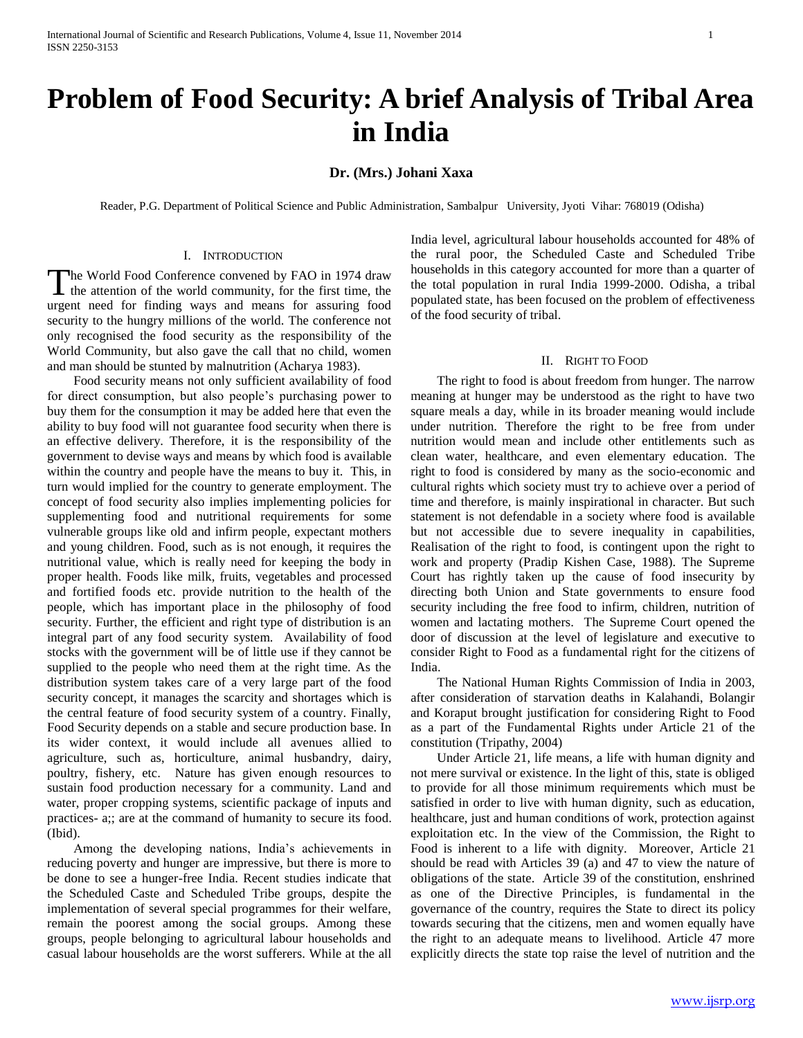# **Problem of Food Security: A brief Analysis of Tribal Area in India**

# **Dr. (Mrs.) Johani Xaxa**

Reader, P.G. Department of Political Science and Public Administration, Sambalpur University, Jyoti Vihar: 768019 (Odisha)

#### I. INTRODUCTION

he World Food Conference convened by FAO in 1974 draw The World Food Conference convened by FAO in 1974 draw<br>the attention of the world community, for the first time, the urgent need for finding ways and means for assuring food security to the hungry millions of the world. The conference not only recognised the food security as the responsibility of the World Community, but also gave the call that no child, women and man should be stunted by malnutrition (Acharya 1983).

 Food security means not only sufficient availability of food for direct consumption, but also people"s purchasing power to buy them for the consumption it may be added here that even the ability to buy food will not guarantee food security when there is an effective delivery. Therefore, it is the responsibility of the government to devise ways and means by which food is available within the country and people have the means to buy it. This, in turn would implied for the country to generate employment. The concept of food security also implies implementing policies for supplementing food and nutritional requirements for some vulnerable groups like old and infirm people, expectant mothers and young children. Food, such as is not enough, it requires the nutritional value, which is really need for keeping the body in proper health. Foods like milk, fruits, vegetables and processed and fortified foods etc. provide nutrition to the health of the people, which has important place in the philosophy of food security. Further, the efficient and right type of distribution is an integral part of any food security system. Availability of food stocks with the government will be of little use if they cannot be supplied to the people who need them at the right time. As the distribution system takes care of a very large part of the food security concept, it manages the scarcity and shortages which is the central feature of food security system of a country. Finally, Food Security depends on a stable and secure production base. In its wider context, it would include all avenues allied to agriculture, such as, horticulture, animal husbandry, dairy, poultry, fishery, etc. Nature has given enough resources to sustain food production necessary for a community. Land and water, proper cropping systems, scientific package of inputs and practices- a;; are at the command of humanity to secure its food. (Ibid).

 Among the developing nations, India"s achievements in reducing poverty and hunger are impressive, but there is more to be done to see a hunger-free India. Recent studies indicate that the Scheduled Caste and Scheduled Tribe groups, despite the implementation of several special programmes for their welfare, remain the poorest among the social groups. Among these groups, people belonging to agricultural labour households and casual labour households are the worst sufferers. While at the all

India level, agricultural labour households accounted for 48% of the rural poor, the Scheduled Caste and Scheduled Tribe households in this category accounted for more than a quarter of the total population in rural India 1999-2000. Odisha, a tribal populated state, has been focused on the problem of effectiveness of the food security of tribal.

## II. RIGHT TO FOOD

 The right to food is about freedom from hunger. The narrow meaning at hunger may be understood as the right to have two square meals a day, while in its broader meaning would include under nutrition. Therefore the right to be free from under nutrition would mean and include other entitlements such as clean water, healthcare, and even elementary education. The right to food is considered by many as the socio-economic and cultural rights which society must try to achieve over a period of time and therefore, is mainly inspirational in character. But such statement is not defendable in a society where food is available but not accessible due to severe inequality in capabilities, Realisation of the right to food, is contingent upon the right to work and property (Pradip Kishen Case, 1988). The Supreme Court has rightly taken up the cause of food insecurity by directing both Union and State governments to ensure food security including the free food to infirm, children, nutrition of women and lactating mothers. The Supreme Court opened the door of discussion at the level of legislature and executive to consider Right to Food as a fundamental right for the citizens of India.

 The National Human Rights Commission of India in 2003, after consideration of starvation deaths in Kalahandi, Bolangir and Koraput brought justification for considering Right to Food as a part of the Fundamental Rights under Article 21 of the constitution (Tripathy, 2004)

 Under Article 21, life means, a life with human dignity and not mere survival or existence. In the light of this, state is obliged to provide for all those minimum requirements which must be satisfied in order to live with human dignity, such as education, healthcare, just and human conditions of work, protection against exploitation etc. In the view of the Commission, the Right to Food is inherent to a life with dignity. Moreover, Article 21 should be read with Articles 39 (a) and 47 to view the nature of obligations of the state. Article 39 of the constitution, enshrined as one of the Directive Principles, is fundamental in the governance of the country, requires the State to direct its policy towards securing that the citizens, men and women equally have the right to an adequate means to livelihood. Article 47 more explicitly directs the state top raise the level of nutrition and the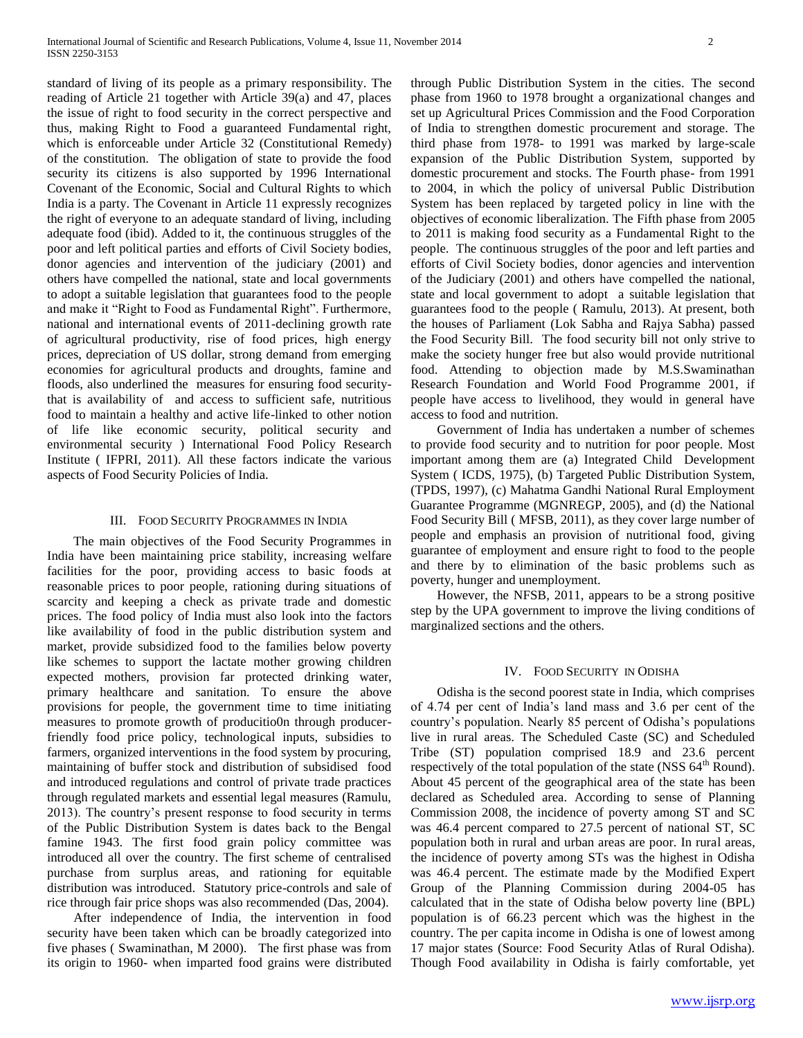standard of living of its people as a primary responsibility. The reading of Article 21 together with Article 39(a) and 47, places the issue of right to food security in the correct perspective and thus, making Right to Food a guaranteed Fundamental right, which is enforceable under Article 32 (Constitutional Remedy) of the constitution. The obligation of state to provide the food security its citizens is also supported by 1996 International Covenant of the Economic, Social and Cultural Rights to which India is a party. The Covenant in Article 11 expressly recognizes the right of everyone to an adequate standard of living, including adequate food (ibid). Added to it, the continuous struggles of the poor and left political parties and efforts of Civil Society bodies, donor agencies and intervention of the judiciary (2001) and others have compelled the national, state and local governments to adopt a suitable legislation that guarantees food to the people and make it "Right to Food as Fundamental Right". Furthermore, national and international events of 2011-declining growth rate of agricultural productivity, rise of food prices, high energy prices, depreciation of US dollar, strong demand from emerging economies for agricultural products and droughts, famine and floods, also underlined the measures for ensuring food securitythat is availability of and access to sufficient safe, nutritious food to maintain a healthy and active life-linked to other notion of life like economic security, political security and environmental security ) International Food Policy Research Institute ( IFPRI, 2011). All these factors indicate the various aspects of Food Security Policies of India.

#### III. FOOD SECURITY PROGRAMMES IN INDIA

 The main objectives of the Food Security Programmes in India have been maintaining price stability, increasing welfare facilities for the poor, providing access to basic foods at reasonable prices to poor people, rationing during situations of scarcity and keeping a check as private trade and domestic prices. The food policy of India must also look into the factors like availability of food in the public distribution system and market, provide subsidized food to the families below poverty like schemes to support the lactate mother growing children expected mothers, provision far protected drinking water, primary healthcare and sanitation. To ensure the above provisions for people, the government time to time initiating measures to promote growth of producitio0n through producerfriendly food price policy, technological inputs, subsidies to farmers, organized interventions in the food system by procuring, maintaining of buffer stock and distribution of subsidised food and introduced regulations and control of private trade practices through regulated markets and essential legal measures (Ramulu, 2013). The country"s present response to food security in terms of the Public Distribution System is dates back to the Bengal famine 1943. The first food grain policy committee was introduced all over the country. The first scheme of centralised purchase from surplus areas, and rationing for equitable distribution was introduced. Statutory price-controls and sale of rice through fair price shops was also recommended (Das, 2004).

 After independence of India, the intervention in food security have been taken which can be broadly categorized into five phases ( Swaminathan, M 2000). The first phase was from its origin to 1960- when imparted food grains were distributed through Public Distribution System in the cities. The second phase from 1960 to 1978 brought a organizational changes and set up Agricultural Prices Commission and the Food Corporation of India to strengthen domestic procurement and storage. The third phase from 1978- to 1991 was marked by large-scale expansion of the Public Distribution System, supported by domestic procurement and stocks. The Fourth phase- from 1991 to 2004, in which the policy of universal Public Distribution System has been replaced by targeted policy in line with the objectives of economic liberalization. The Fifth phase from 2005 to 2011 is making food security as a Fundamental Right to the people. The continuous struggles of the poor and left parties and efforts of Civil Society bodies, donor agencies and intervention of the Judiciary (2001) and others have compelled the national, state and local government to adopt a suitable legislation that guarantees food to the people ( Ramulu, 2013). At present, both the houses of Parliament (Lok Sabha and Rajya Sabha) passed the Food Security Bill. The food security bill not only strive to make the society hunger free but also would provide nutritional food. Attending to objection made by M.S.Swaminathan Research Foundation and World Food Programme 2001, if people have access to livelihood, they would in general have access to food and nutrition.

 Government of India has undertaken a number of schemes to provide food security and to nutrition for poor people. Most important among them are (a) Integrated Child Development System ( ICDS, 1975), (b) Targeted Public Distribution System, (TPDS, 1997), (c) Mahatma Gandhi National Rural Employment Guarantee Programme (MGNREGP, 2005), and (d) the National Food Security Bill ( MFSB, 2011), as they cover large number of people and emphasis an provision of nutritional food, giving guarantee of employment and ensure right to food to the people and there by to elimination of the basic problems such as poverty, hunger and unemployment.

 However, the NFSB, 2011, appears to be a strong positive step by the UPA government to improve the living conditions of marginalized sections and the others.

#### IV. FOOD SECURITY IN ODISHA

 Odisha is the second poorest state in India, which comprises of 4.74 per cent of India"s land mass and 3.6 per cent of the country"s population. Nearly 85 percent of Odisha"s populations live in rural areas. The Scheduled Caste (SC) and Scheduled Tribe (ST) population comprised 18.9 and 23.6 percent respectively of the total population of the state (NSS  $64<sup>th</sup>$  Round). About 45 percent of the geographical area of the state has been declared as Scheduled area. According to sense of Planning Commission 2008, the incidence of poverty among ST and SC was 46.4 percent compared to 27.5 percent of national ST, SC population both in rural and urban areas are poor. In rural areas, the incidence of poverty among STs was the highest in Odisha was 46.4 percent. The estimate made by the Modified Expert Group of the Planning Commission during 2004-05 has calculated that in the state of Odisha below poverty line (BPL) population is of 66.23 percent which was the highest in the country. The per capita income in Odisha is one of lowest among 17 major states (Source: Food Security Atlas of Rural Odisha). Though Food availability in Odisha is fairly comfortable, yet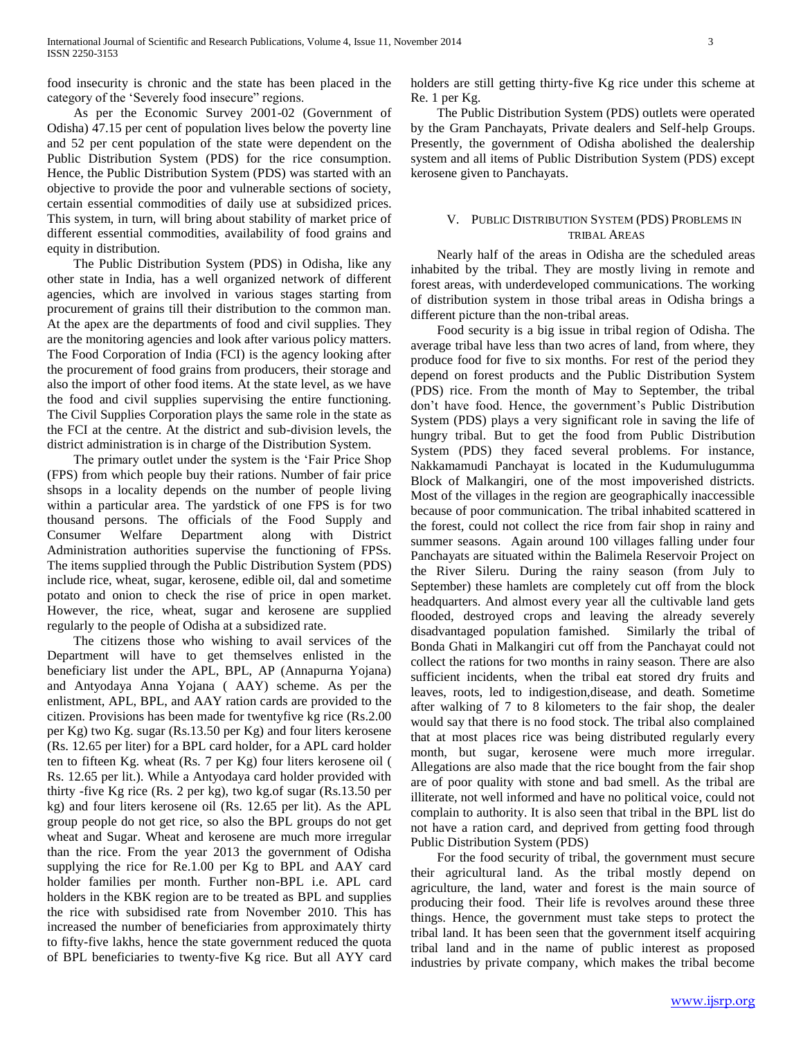food insecurity is chronic and the state has been placed in the category of the "Severely food insecure" regions.

 As per the Economic Survey 2001-02 (Government of Odisha) 47.15 per cent of population lives below the poverty line and 52 per cent population of the state were dependent on the Public Distribution System (PDS) for the rice consumption. Hence, the Public Distribution System (PDS) was started with an objective to provide the poor and vulnerable sections of society, certain essential commodities of daily use at subsidized prices. This system, in turn, will bring about stability of market price of different essential commodities, availability of food grains and equity in distribution.

 The Public Distribution System (PDS) in Odisha, like any other state in India, has a well organized network of different agencies, which are involved in various stages starting from procurement of grains till their distribution to the common man. At the apex are the departments of food and civil supplies. They are the monitoring agencies and look after various policy matters. The Food Corporation of India (FCI) is the agency looking after the procurement of food grains from producers, their storage and also the import of other food items. At the state level, as we have the food and civil supplies supervising the entire functioning. The Civil Supplies Corporation plays the same role in the state as the FCI at the centre. At the district and sub-division levels, the district administration is in charge of the Distribution System.

 The primary outlet under the system is the "Fair Price Shop (FPS) from which people buy their rations. Number of fair price shsops in a locality depends on the number of people living within a particular area. The yardstick of one FPS is for two thousand persons. The officials of the Food Supply and Consumer Welfare Department along with District Administration authorities supervise the functioning of FPSs. The items supplied through the Public Distribution System (PDS) include rice, wheat, sugar, kerosene, edible oil, dal and sometime potato and onion to check the rise of price in open market. However, the rice, wheat, sugar and kerosene are supplied regularly to the people of Odisha at a subsidized rate.

 The citizens those who wishing to avail services of the Department will have to get themselves enlisted in the beneficiary list under the APL, BPL, AP (Annapurna Yojana) and Antyodaya Anna Yojana ( AAY) scheme. As per the enlistment, APL, BPL, and AAY ration cards are provided to the citizen. Provisions has been made for twentyfive kg rice (Rs.2.00 per Kg) two Kg. sugar (Rs.13.50 per Kg) and four liters kerosene (Rs. 12.65 per liter) for a BPL card holder, for a APL card holder ten to fifteen Kg. wheat (Rs. 7 per Kg) four liters kerosene oil ( Rs. 12.65 per lit.). While a Antyodaya card holder provided with thirty -five Kg rice (Rs. 2 per kg), two kg.of sugar (Rs.13.50 per kg) and four liters kerosene oil (Rs. 12.65 per lit). As the APL group people do not get rice, so also the BPL groups do not get wheat and Sugar. Wheat and kerosene are much more irregular than the rice. From the year 2013 the government of Odisha supplying the rice for Re.1.00 per Kg to BPL and AAY card holder families per month. Further non-BPL i.e. APL card holders in the KBK region are to be treated as BPL and supplies the rice with subsidised rate from November 2010. This has increased the number of beneficiaries from approximately thirty to fifty-five lakhs, hence the state government reduced the quota of BPL beneficiaries to twenty-five Kg rice. But all AYY card holders are still getting thirty-five Kg rice under this scheme at Re. 1 per Kg.

 The Public Distribution System (PDS) outlets were operated by the Gram Panchayats, Private dealers and Self-help Groups. Presently, the government of Odisha abolished the dealership system and all items of Public Distribution System (PDS) except kerosene given to Panchayats.

## V. PUBLIC DISTRIBUTION SYSTEM (PDS) PROBLEMS IN TRIBAL AREAS

 Nearly half of the areas in Odisha are the scheduled areas inhabited by the tribal. They are mostly living in remote and forest areas, with underdeveloped communications. The working of distribution system in those tribal areas in Odisha brings a different picture than the non-tribal areas.

 Food security is a big issue in tribal region of Odisha. The average tribal have less than two acres of land, from where, they produce food for five to six months. For rest of the period they depend on forest products and the Public Distribution System (PDS) rice. From the month of May to September, the tribal don't have food. Hence, the government's Public Distribution System (PDS) plays a very significant role in saving the life of hungry tribal. But to get the food from Public Distribution System (PDS) they faced several problems. For instance, Nakkamamudi Panchayat is located in the Kudumulugumma Block of Malkangiri, one of the most impoverished districts. Most of the villages in the region are geographically inaccessible because of poor communication. The tribal inhabited scattered in the forest, could not collect the rice from fair shop in rainy and summer seasons. Again around 100 villages falling under four Panchayats are situated within the Balimela Reservoir Project on the River Sileru. During the rainy season (from July to September) these hamlets are completely cut off from the block headquarters. And almost every year all the cultivable land gets flooded, destroyed crops and leaving the already severely disadvantaged population famished. Similarly the tribal of Bonda Ghati in Malkangiri cut off from the Panchayat could not collect the rations for two months in rainy season. There are also sufficient incidents, when the tribal eat stored dry fruits and leaves, roots, led to indigestion,disease, and death. Sometime after walking of 7 to 8 kilometers to the fair shop, the dealer would say that there is no food stock. The tribal also complained that at most places rice was being distributed regularly every month, but sugar, kerosene were much more irregular. Allegations are also made that the rice bought from the fair shop are of poor quality with stone and bad smell. As the tribal are illiterate, not well informed and have no political voice, could not complain to authority. It is also seen that tribal in the BPL list do not have a ration card, and deprived from getting food through Public Distribution System (PDS)

 For the food security of tribal, the government must secure their agricultural land. As the tribal mostly depend on agriculture, the land, water and forest is the main source of producing their food. Their life is revolves around these three things. Hence, the government must take steps to protect the tribal land. It has been seen that the government itself acquiring tribal land and in the name of public interest as proposed industries by private company, which makes the tribal become